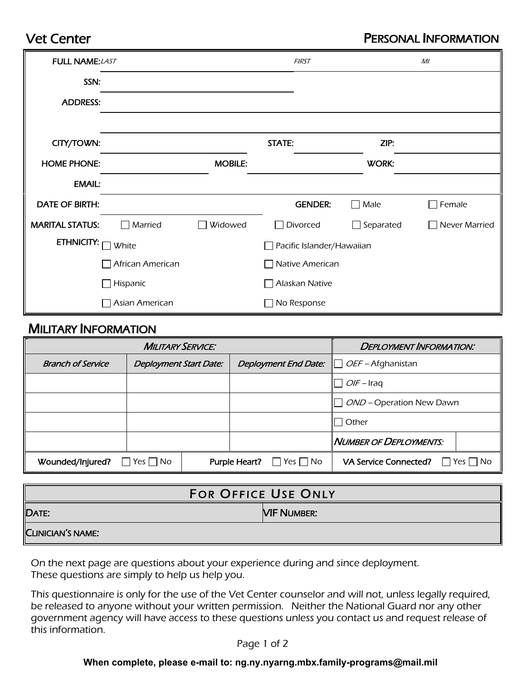## Vet Center

## PERSONAL INFORMATION

| <b>FULL NAME: LAST</b>     |                          |                                  | <b>FIRST</b>       |                           | M <sub>l</sub>       |
|----------------------------|--------------------------|----------------------------------|--------------------|---------------------------|----------------------|
| SSN:                       |                          |                                  |                    |                           |                      |
| <b>ADDRESS:</b>            |                          |                                  |                    |                           |                      |
|                            |                          |                                  |                    |                           |                      |
| CITY/TOWN:                 |                          |                                  | STATE:             | ZIP:                      |                      |
| <b>HOME PHONE:</b>         |                          | <b>MOBILE:</b>                   |                    | <b>WORK:</b>              |                      |
| <b>EMAIL:</b>              |                          |                                  |                    |                           |                      |
| <b>DATE OF BIRTH:</b>      |                          |                                  | <b>GENDER:</b>     | Male<br>$\mathbf{I}$      | Female               |
| <b>MARITAL STATUS:</b>     | Married<br>$\mathcal{L}$ | Widowed                          | Divorced           | Separated<br>$\mathbf{L}$ | $\Box$ Never Married |
| <b>ETHNICITY:</b><br>White |                          | $\Box$ Pacific Islander/Hawaiian |                    |                           |                      |
| $\Box$ African American    |                          | $\Box$ Native American           |                    |                           |                      |
| $\Box$ Hispanic            |                          | $\Box$ Alaskan Native            |                    |                           |                      |
|                            | $\Box$ Asian American    |                                  | $\Box$ No Response |                           |                      |

## MILITARY INFORMATION

| <b>MILITARY SERVICE:</b> |                                    |  |               | <b>DEPLOYMENT INFORMATION:</b> |                                 |            |
|--------------------------|------------------------------------|--|---------------|--------------------------------|---------------------------------|------------|
| <b>Branch of Service</b> | <b>Deployment Start Date:</b>      |  |               | <b>Deployment End Date:</b>    | $\Box$ <i>OEF</i> – Afghanistan |            |
|                          |                                    |  |               |                                | $\Box$ <i>OIF</i> – Iraq        |            |
|                          |                                    |  |               |                                | OND – Operation New Dawn        |            |
|                          |                                    |  |               |                                | √ Other                         |            |
|                          |                                    |  |               |                                | NUMBER OF DEPLOYMENTS:          |            |
| Wounded/Injured?         | $\vert \vert$ Yes $\vert \vert$ No |  | Purple Heart? | $\Box$ Yes $\Box$ No           | <b>VA Service Connected?</b>    | Yes     No |

| <b>FOR OFFICE USE ONLY</b> |                    |  |  |  |
|----------------------------|--------------------|--|--|--|
| DATE:                      | <b>NIF NUMBER:</b> |  |  |  |
| <b>CLINICIAN'S NAME:</b>   |                    |  |  |  |

On the next page are questions about your experience during and since deployment. These questions are simply to help us help you.

This questionnaire is only for the use of the Vet Center counselor and will not, unless legally required, be released to anyone without your written permission. Neither the National Guard nor any other government agency will have access to these questions unless you contact us and request release of this information.

Page 1 of 2

## **When complete, please e-mail to: ng.ny.nyarng.mbx.family-programs@mail.mil**